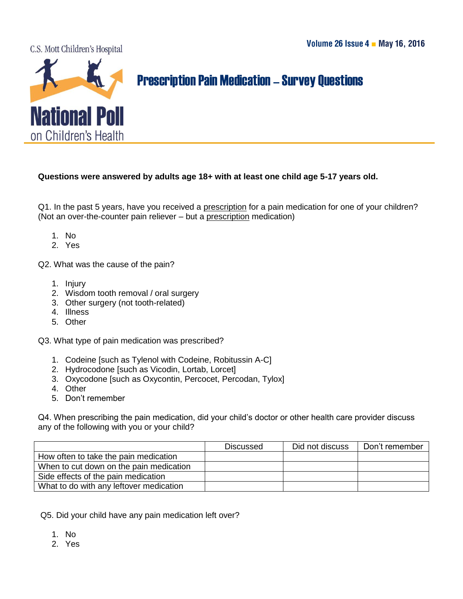C.S. Mott Children's Hospital



## Prescription Pain Medication–Survey Questions

## **Questions were answered by adults age 18+ with at least one child age 5-17 years old.**

Q1. In the past 5 years, have you received a prescription for a pain medication for one of your children? (Not an over-the-counter pain reliever – but a prescription medication)

- 1. No
- 2. Yes

Q2. What was the cause of the pain?

- 1. Injury
- 2. Wisdom tooth removal / oral surgery
- 3. Other surgery (not tooth-related)
- 4. Illness
- 5. Other

Q3. What type of pain medication was prescribed?

- 1. Codeine [such as Tylenol with Codeine, Robitussin A-C]
- 2. Hydrocodone [such as Vicodin, Lortab, Lorcet]
- 3. Oxycodone [such as Oxycontin, Percocet, Percodan, Tylox]
- 4. Other
- 5. Don't remember

Q4. When prescribing the pain medication, did your child's doctor or other health care provider discuss any of the following with you or your child?

|                                         | Discussed | Did not discuss | Don't remember |
|-----------------------------------------|-----------|-----------------|----------------|
| How often to take the pain medication   |           |                 |                |
| When to cut down on the pain medication |           |                 |                |
| Side effects of the pain medication     |           |                 |                |
| What to do with any leftover medication |           |                 |                |

Q5. Did your child have any pain medication left over?

- 1. No
- 2. Yes